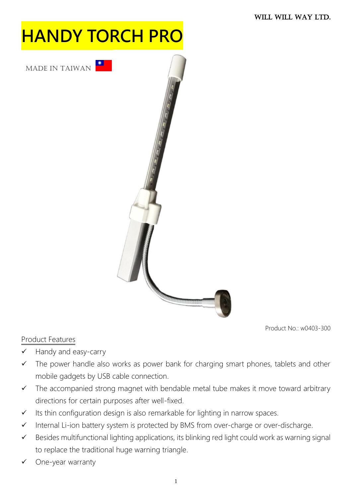# **HANDY TORCH PRC**





Product No.: w0403-300

- Product Features
- $\checkmark$  Handy and easy-carry
- $\checkmark$  The power handle also works as power bank for charging smart phones, tablets and other mobile gadgets by USB cable connection.
- $\checkmark$  The accompanied strong magnet with bendable metal tube makes it move toward arbitrary directions for certain purposes after well-fixed.
- $\checkmark$  Its thin configuration design is also remarkable for lighting in narrow spaces.
- $\checkmark$  Internal Li-ion battery system is protected by BMS from over-charge or over-discharge.
- $\checkmark$  Besides multifunctional lighting applications, its blinking red light could work as warning signal to replace the traditional huge warning triangle.
- One-year warranty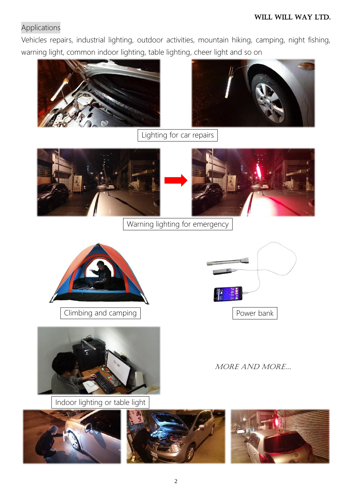### Applications

Vehicles repairs, industrial lighting, outdoor activities, mountain hiking, camping, night fishing, warning light, common indoor lighting, table lighting, cheer light and so on





Lighting for car repairs



Warning lighting for emergency





Indoor lighting or table light







MORE AND MORE…

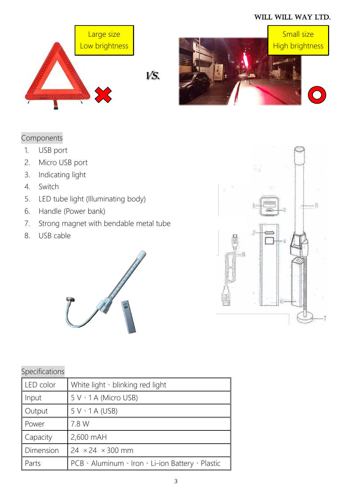#### WILL WILL WAY LTD.



VS.



# Components

- 1. USB port
- 2. Micro USB port
- 3. Indicating light
- 4. Switch
- 5. LED tube light (Illuminating body)
- 6. Handle (Power bank)
- 7. Strong magnet with bendable metal tube
- 8. USB cable



## Specifications

| LED color | White light · blinking red light                 |
|-----------|--------------------------------------------------|
| Input     | $5 V \cdot 1 A$ (Micro USB)                      |
| Output    | $5 V \cdot 1 A (USB)$                            |
| Power     | 7.8 W                                            |
| Capacity  | 2,600 mAH                                        |
| Dimension | $24 \times 24 \times 300$ mm                     |
| Parts     | PCB · Aluminum · Iron · Li-ion Battery · Plastic |